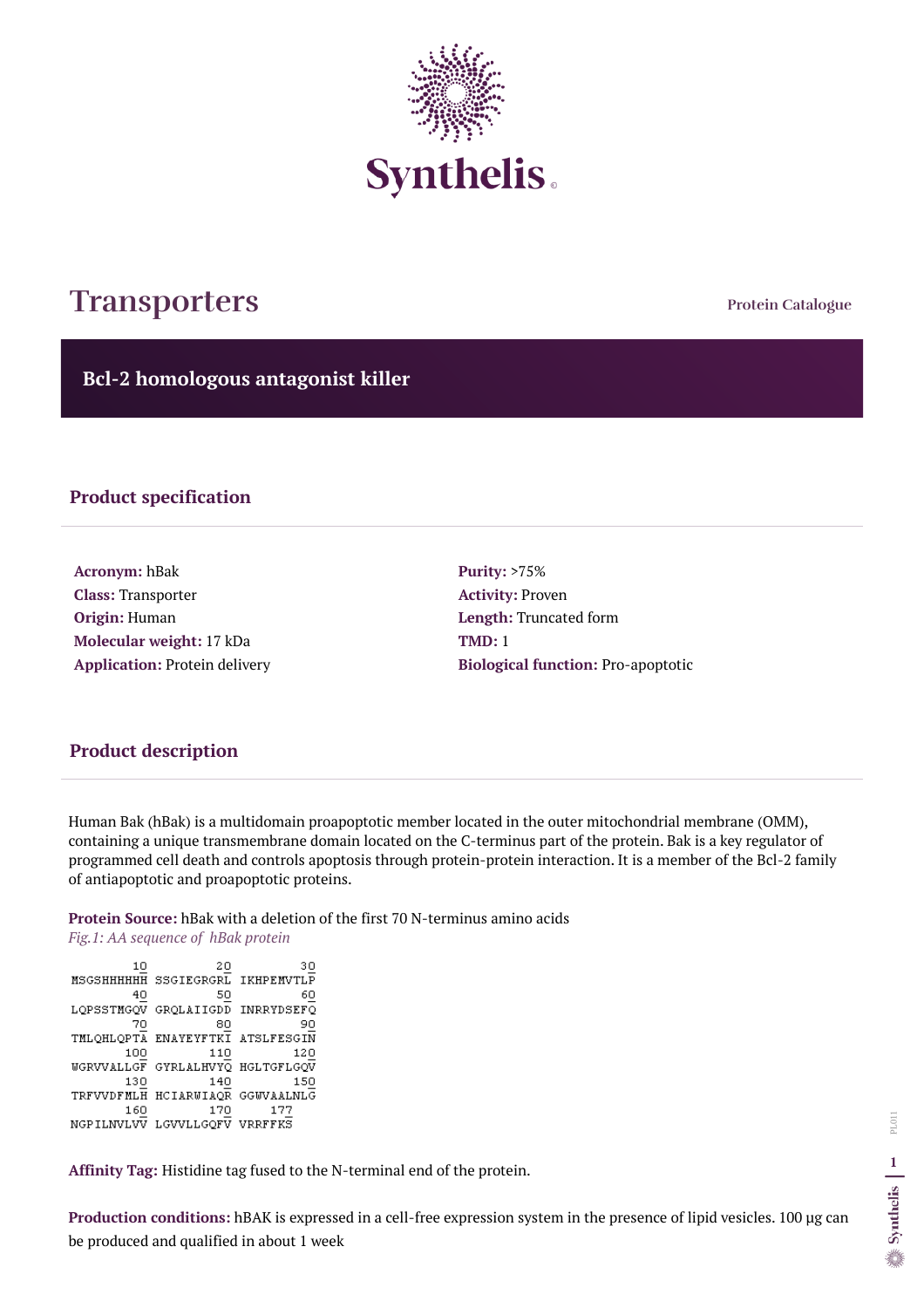Human Bak (hBak) is a multidomain proapoptotic member located in the outer mitochondrial membrane (OMM), containing a unique transmembrane domain located on the C-terminus part of the protein. Bak is a key regulator of programmed cell death and controls apoptosis through protein-protein interaction. It is a member of the Bcl-2 family of antiapoptotic and proapoptotic proteins.

#### **Protein Source:** hBak with a deletion of the first 70 N-terminus amino acids

*Fig.1: AA sequence of hBak protein* 

10 30 20 MSGSHHHHHH SSGIEGRGRL IKHPEMVTLP 40 50 LOPSSTMGOV GROLAIIGDD INRRYDSEFO  $\frac{70}{70}$  80<br>TMLQHLQPTA ENAYEYFTKI ATSLFESGIN 100 110 120 WGRVVALLGF GYRLALHVYQ HGLTGFLGQV 130 140 150 TRFVVDFMLH HCIARWIAQR GGWVAALNLG 170 160 177 NGPILNVLVV LGVVLLGQFV VRRFFKS

**Affinity Tag:** Histidine tag fused to the N-terminal end of the protein.

**Production conditions:** hBAK is expressed in a cell-free expression system in the presence of lipid vesicles. 100 µg can be produced and qualified in about 1 week

**Protein Catalogue**

**Bcl-2 homologous antagonist killer**



# **Transporters**

### **Product specification**

**Acronym:** hBak **Class:** Transporter **Origin:** Human **Molecular weight:** 17 kDa **Application:** Protein delivery **Purity:** >75% **Activity:** Proven **Length:** Truncated form **TMD:** 1 **Biological function:** Pro-apoptotic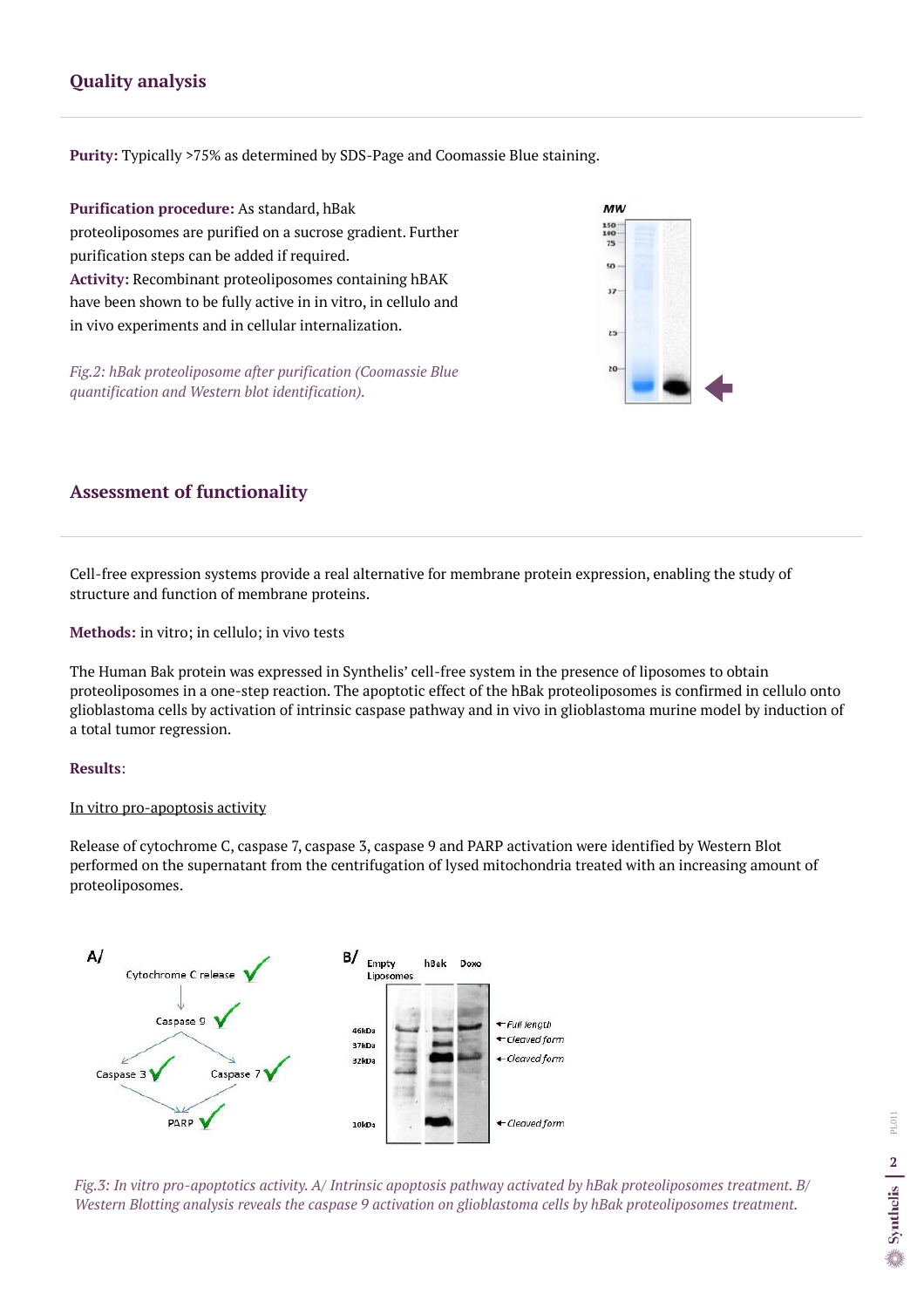## **Assessment of functionality**

Cell-free expression systems provide a real alternative for membrane protein expression, enabling the study of structure and function of membrane proteins.

#### **Methods:** in vitro; in cellulo; in vivo tests

The Human Bak protein was expressed in Synthelis' cell-free system in the presence of liposomes to obtain proteoliposomes in a one-step reaction. The apoptotic effect of the hBak proteoliposomes is confirmed in cellulo onto glioblastoma cells by activation of intrinsic caspase pathway and in vivo in glioblastoma murine model by induction of a total tumor regression.

#### **Results**:

#### In vitro pro-apoptosis activity

Release of cytochrome C, caspase 7, caspase 3, caspase 9 and PARP activation were identified by Western Blot performed on the supernatant from the centrifugation of lysed mitochondria treated with an increasing amount of proteoliposomes.



# **Quality analysis**

**Purity:** Typically >75% as determined by SDS-Page and Coomassie Blue staining.

**Purification procedure:** As standard, hBak proteoliposomes are purified on a sucrose gradient. Further purification steps can be added if required. **Activity:** Recombinant proteoliposomes containing hBAK have been shown to be fully active in in vitro, in cellulo and in vivo experiments and in cellular internalization.

*Fig.2: hBak proteoliposome after purification (Coomassie Blue quantification and Western blot identification).*

# $MW$ 150 100 75 50  $37 25$ 20

*Fig.3: In vitro pro-apoptotics activity. A/ Intrinsic apoptosis pathway activated by hBak proteoliposomes treatment. B/ Western Blotting analysis reveals the caspase 9 activation on glioblastoma cells by hBak proteoliposomes treatment.*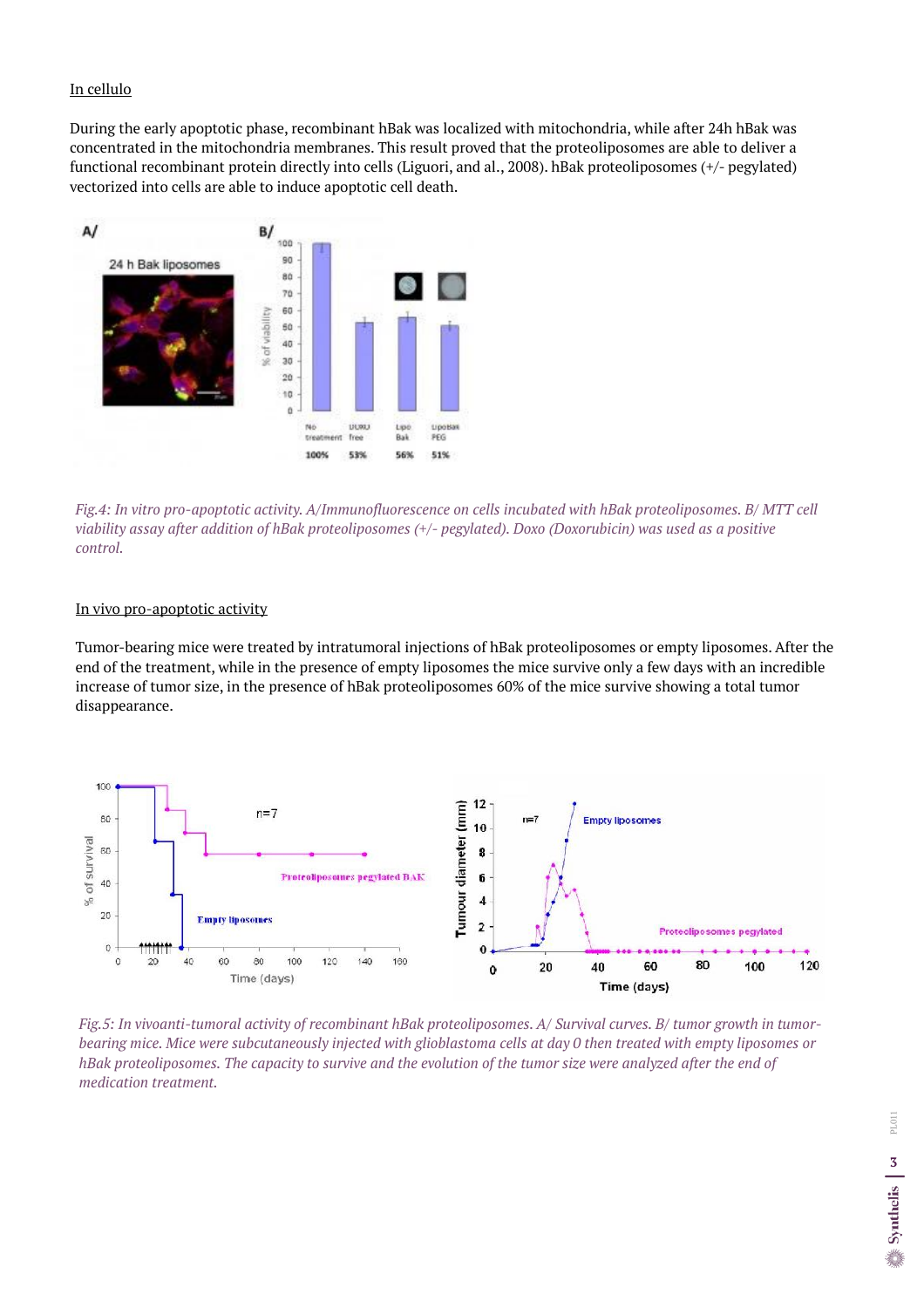#### In vivo pro-apoptotic activity

Tumor-bearing mice were treated by intratumoral injections of hBak proteoliposomes or empty liposomes. After the end of the treatment, while in the presence of empty liposomes the mice survive only a few days with an incredible increase of tumor size, in the presence of hBak proteoliposomes 60% of the mice survive showing a total tumor

#### disappearance.

#### In cellulo

During the early apoptotic phase, recombinant hBak was localized with mitochondria, while after 24h hBak was concentrated in the mitochondria membranes. This result proved that the proteoliposomes are able to deliver a functional recombinant protein directly into cells (Liguori, and al., 2008). hBak proteoliposomes (+/- pegylated) vectorized into cells are able to induce apoptotic cell death.



*Fig.4: In vitro pro-apoptotic activity. A/Immunofluorescence on cells incubated with hBak proteoliposomes. B/ MTT cell viability assay after addition of hBak proteoliposomes (+/- pegylated). Doxo (Doxorubicin) was used as a positive control.*



*Fig.5: In vivoanti-tumoral activity of recombinant hBak proteoliposomes. A/ Survival curves. B/ tumor growth in tumorbearing mice. Mice were subcutaneously injected with glioblastoma cells at day 0 then treated with empty liposomes or hBak proteoliposomes. The capacity to survive and the evolution of the tumor size were analyzed after the end of medication treatment.*